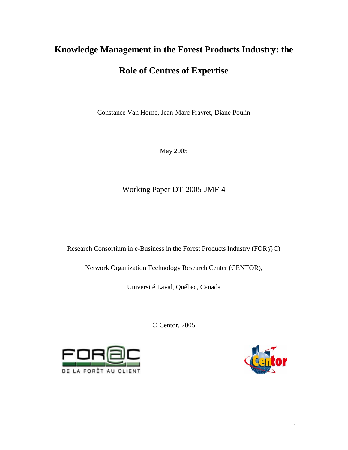# **Knowledge Management in the Forest Products Industry: the**

# **Role of Centres of Expertise**

Constance Van Horne, Jean-Marc Frayret, Diane Poulin

May 2005

Working Paper DT-2005-JMF-4

Research Consortium in e-Business in the Forest Products Industry (FOR@C)

Network Organization Technology Research Center (CENTOR),

Université Laval, Québec, Canada

© Centor, 2005



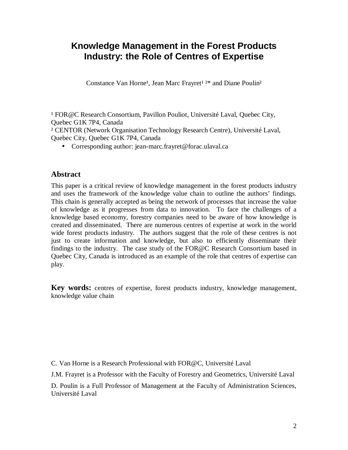# **Knowledge Management in the Forest Products Industry: the Role of Centres of Expertise**

Constance Van Horne<sup>1</sup>, Jean Marc Frayret<sup>1</sup><sup>2\*</sup> and Diane Poulin<sup>2</sup>

<sup>1</sup> FOR @C Research Consortium, Pavillon Pouliot, Université Laval, Quebec City, Quebec G1K 7P4, Canada

² CENTOR (Network Organisation Technology Research Centre), Université Laval, Quebec City, Quebec G1K 7P4, Canada

• Corresponding author: jean-marc.frayret@forac.ulaval.ca

#### **Abstract**

This paper is a critical review of knowledge management in the forest products industry and uses the framework of the knowledge value chain to outline the authors' findings. This chain is generally accepted as being the network of processes that increase the value of knowledge as it progresses from data to innovation. To face the challenges of a knowledge based economy, forestry companies need to be aware of how knowledge is created and disseminated. There are numerous centres of expertise at work in the world wide forest products industry. The authors suggest that the role of these centres is not just to create information and knowledge, but also to efficiently disseminate their findings to the industry. The case study of the FOR@C Research Consortium based in Quebec City, Canada is introduced as an example of the role that centres of expertise can play.

**Key words:** centres of expertise, forest products industry, knowledge management, knowledge value chain

C. Van Horne is a Research Professional with FOR@C, Université Laval

J.M. Frayret is a Professor with the Faculty of Forestry and Geometrics, Université Laval

D. Poulin is a Full Professor of Management at the Faculty of Administration Sciences, Université Laval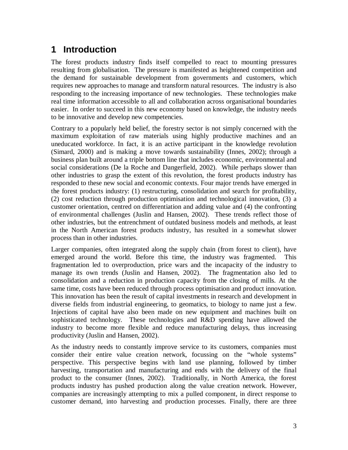# **1 Introduction**

The forest products industry finds itself compelled to react to mounting pressures resulting from globalisation. The pressure is manifested as heightened competition and the demand for sustainable development from governments and customers, which requires new approaches to manage and transform natural resources. The industry is also responding to the increasing importance of new technologies. These technologies make real time information accessible to all and collaboration across organisational boundaries easier. In order to succeed in this new economy based on knowledge, the industry needs to be innovative and develop new competencies.

Contrary to a popularly held belief, the forestry sector is not simply concerned with the maximum exploitation of raw materials using highly productive machines and an uneducated workforce. In fact, it is an active participant in the knowledge revolution (Simard, 2000) and is making a move towards sustainability (Innes, 2002); through a business plan built around a triple bottom line that includes economic, environmental and social considerations (De la Roche and Dangerfield, 2002). While perhaps slower than other industries to grasp the extent of this revolution, the forest products industry has responded to these new social and economic contexts. Four major trends have emerged in the forest products industry: (1) restructuring, consolidation and search for profitability, (2) cost reduction through production optimisation and technological innovation, (3) a customer orientation, centred on differentiation and adding value and (4) the confronting of environmental challenges (Juslin and Hansen, 2002). These trends reflect those of other industries, but the entrenchment of outdated business models and methods, at least in the North American forest products industry, has resulted in a somewhat slower process than in other industries.

Larger companies, often integrated along the supply chain (from forest to client), have emerged around the world. Before this time, the industry was fragmented. This fragmentation led to overproduction, price wars and the incapacity of the industry to manage its own trends (Juslin and Hansen, 2002). The fragmentation also led to consolidation and a reduction in production capacity from the closing of mills. At the same time, costs have been reduced through process optimisation and product innovation. This innovation has been the result of capital investments in research and development in diverse fields from industrial engineering, to geomatics, to biology to name just a few. Injections of capital have also been made on new equipment and machines built on sophisticated technology. These technologies and R&D spending have allowed the industry to become more flexible and reduce manufacturing delays, thus increasing productivity (Juslin and Hansen, 2002).

As the industry needs to constantly improve service to its customers, companies must consider their entire value creation network, focussing on the "whole systems" perspective. This perspective begins with land use planning, followed by timber harvesting, transportation and manufacturing and ends with the delivery of the final product to the consumer (Innes, 2002). Traditionally, in North America, the forest products industry has pushed production along the value creation network. However, companies are increasingly attempting to mix a pulled component, in direct response to customer demand, into harvesting and production processes. Finally, there are three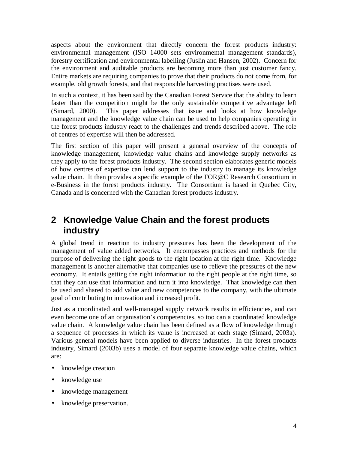aspects about the environment that directly concern the forest products industry: environmental management (ISO 14000 sets environmental management standards), forestry certification and environmental labelling (Juslin and Hansen, 2002). Concern for the environment and auditable products are becoming more than just customer fancy. Entire markets are requiring companies to prove that their products do not come from, for example, old growth forests, and that responsible harvesting practises were used.

In such a context, it has been said by the Canadian Forest Service that the ability to learn faster than the competition might be the only sustainable competitive advantage left (Simard, 2000). This paper addresses that issue and looks at how knowledge management and the knowledge value chain can be used to help companies operating in the forest products industry react to the challenges and trends described above. The role of centres of expertise will then be addressed.

The first section of this paper will present a general overview of the concepts of knowledge management, knowledge value chains and knowledge supply networks as they apply to the forest products industry. The second section elaborates generic models of how centres of expertise can lend support to the industry to manage its knowledge value chain. It then provides a specific example of the FOR@C Research Consortium in e-Business in the forest products industry. The Consortium is based in Quebec City, Canada and is concerned with the Canadian forest products industry.

# **2 Knowledge Value Chain and the forest products industry**

A global trend in reaction to industry pressures has been the development of the management of value added networks. It encompasses practices and methods for the purpose of delivering the right goods to the right location at the right time. Knowledge management is another alternative that companies use to relieve the pressures of the new economy. It entails getting the right information to the right people at the right time, so that they can use that information and turn it into knowledge. That knowledge can then be used and shared to add value and new competences to the company, with the ultimate goal of contributing to innovation and increased profit.

Just as a coordinated and well-managed supply network results in efficiencies, and can even become one of an organisation's competencies, so too can a coordinated knowledge value chain. A knowledge value chain has been defined as a flow of knowledge through a sequence of processes in which its value is increased at each stage (Simard, 2003a). Various general models have been applied to diverse industries. In the forest products industry, Simard (2003b) uses a model of four separate knowledge value chains, which are:

- knowledge creation
- knowledge use
- knowledge management
- knowledge preservation.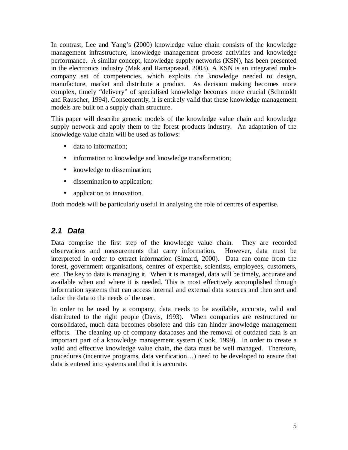In contrast, Lee and Yang's (2000) knowledge value chain consists of the knowledge management infrastructure, knowledge management process activities and knowledge performance. A similar concept, knowledge supply networks (KSN), has been presented in the electronics industry (Mak and Ramaprasad, 2003). A KSN is an integrated multicompany set of competencies, which exploits the knowledge needed to design, manufacture, market and distribute a product. As decision making becomes more complex, timely "delivery" of specialised knowledge becomes more crucial (Schmoldt and Rauscher, 1994). Consequently, it is entirely valid that these knowledge management models are built on a supply chain structure.

This paper will describe generic models of the knowledge value chain and knowledge supply network and apply them to the forest products industry. An adaptation of the knowledge value chain will be used as follows:

- data to information:
- information to knowledge and knowledge transformation;
- knowledge to dissemination;
- dissemination to application;
- application to innovation.

Both models will be particularly useful in analysing the role of centres of expertise.

## **2.1 Data**

Data comprise the first step of the knowledge value chain. They are recorded observations and measurements that carry information. However, data must be interpreted in order to extract information (Simard, 2000). Data can come from the forest, government organisations, centres of expertise, scientists, employees, customers, etc. The key to data is managing it. When it is managed, data will be timely, accurate and available when and where it is needed. This is most effectively accomplished through information systems that can access internal and external data sources and then sort and tailor the data to the needs of the user.

In order to be used by a company, data needs to be available, accurate, valid and distributed to the right people (Davis, 1993). When companies are restructured or consolidated, much data becomes obsolete and this can hinder knowledge management efforts. The cleaning up of company databases and the removal of outdated data is an important part of a knowledge management system (Cook, 1999). In order to create a valid and effective knowledge value chain, the data must be well managed. Therefore, procedures (incentive programs, data verification…) need to be developed to ensure that data is entered into systems and that it is accurate.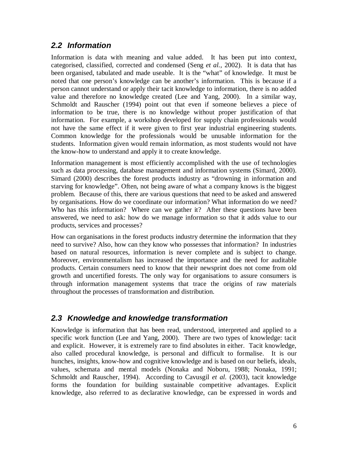### **2.2 Information**

Information is data with meaning and value added. It has been put into context, categorised, classified, corrected and condensed (Seng *et al.,* 2002). It is data that has been organised, tabulated and made useable. It is the "what" of knowledge. It must be noted that one person's knowledge can be another's information. This is because if a person cannot understand or apply their tacit knowledge to information, there is no added value and therefore no knowledge created (Lee and Yang, 2000). In a similar way, Schmoldt and Rauscher (1994) point out that even if someone believes a piece of information to be true, there is no knowledge without proper justification of that information. For example, a workshop developed for supply chain professionals would not have the same effect if it were given to first year industrial engineering students. Common knowledge for the professionals would be unusable information for the students. Information given would remain information, as most students would not have the know-how to understand and apply it to create knowledge.

Information management is most efficiently accomplished with the use of technologies such as data processing, database management and information systems (Simard, 2000). Simard (2000) describes the forest products industry as "drowning in information and starving for knowledge". Often, not being aware of what a company knows is the biggest problem. Because of this, there are various questions that need to be asked and answered by organisations. How do we coordinate our information? What information do we need? Who has this information? Where can we gather it? After these questions have been answered, we need to ask: how do we manage information so that it adds value to our products, services and processes?

How can organisations in the forest products industry determine the information that they need to survive? Also, how can they know who possesses that information? In industries based on natural resources, information is never complete and is subject to change. Moreover, environmentalism has increased the importance and the need for auditable products. Certain consumers need to know that their newsprint does not come from old growth and uncertified forests. The only way for organisations to assure consumers is through information management systems that trace the origins of raw materials throughout the processes of transformation and distribution.

# **2.3 Knowledge and knowledge transformation**

Knowledge is information that has been read, understood, interpreted and applied to a specific work function (Lee and Yang, 2000). There are two types of knowledge: tacit and explicit. However, it is extremely rare to find absolutes in either. Tacit knowledge, also called procedural knowledge, is personal and difficult to formalise. It is our hunches, insights, know-how and cognitive knowledge and is based on our beliefs, ideals, values, schemata and mental models (Nonaka and Noboru, 1988; Nonaka, 1991; Schmoldt and Rauscher, 1994). According to Cavusgil *et al.* (2003), tacit knowledge forms the foundation for building sustainable competitive advantages. Explicit knowledge, also referred to as declarative knowledge, can be expressed in words and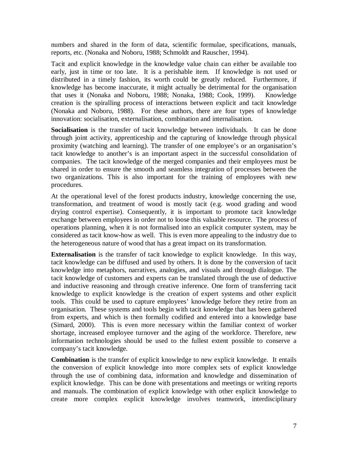numbers and shared in the form of data, scientific formulae, specifications, manuals, reports, etc. (Nonaka and Noboru, 1988; Schmoldt and Rauscher, 1994).

Tacit and explicit knowledge in the knowledge value chain can either be available too early, just in time or too late. It is a perishable item. If knowledge is not used or distributed in a timely fashion, its worth could be greatly reduced. Furthermore, if knowledge has become inaccurate, it might actually be detrimental for the organisation that uses it (Nonaka and Noboru, 1988; Nonaka, 1988; Cook, 1999). Knowledge creation is the spiralling process of interactions between explicit and tacit knowledge (Nonaka and Noboru, 1988). For these authors, there are four types of knowledge innovation: socialisation, externalisation, combination and internalisation.

**Socialisation** is the transfer of tacit knowledge between individuals. It can be done through joint activity, apprenticeship and the capturing of knowledge through physical proximity (watching and learning). The transfer of one employee's or an organisation's tacit knowledge to another's is an important aspect in the successful consolidation of companies. The tacit knowledge of the merged companies and their employees must be shared in order to ensure the smooth and seamless integration of processes between the two organizations. This is also important for the training of employees with new procedures.

At the operational level of the forest products industry, knowledge concerning the use, transformation, and treatment of wood is mostly tacit (e.g. wood grading and wood drying control expertise). Consequently, it is important to promote tacit knowledge exchange between employees in order not to loose this valuable resource. The process of operations planning, when it is not formalised into an explicit computer system, may be considered as tacit know-how as well. This is even more appealing to the industry due to the heterogeneous nature of wood that has a great impact on its transformation.

**Externalisation** is the transfer of tacit knowledge to explicit knowledge. In this way, tacit knowledge can be diffused and used by others. It is done by the conversion of tacit knowledge into metaphors, narratives, analogies, and visuals and through dialogue. The tacit knowledge of customers and experts can be translated through the use of deductive and inductive reasoning and through creative inference. One form of transferring tacit knowledge to explicit knowledge is the creation of expert systems and other explicit tools. This could be used to capture employees' knowledge before they retire from an organisation. These systems and tools begin with tacit knowledge that has been gathered from experts, and which is then formally codified and entered into a knowledge base (Simard, 2000). This is even more necessary within the familiar context of worker shortage, increased employee turnover and the aging of the workforce. Therefore, new information technologies should be used to the fullest extent possible to conserve a company's tacit knowledge.

**Combination** is the transfer of explicit knowledge to new explicit knowledge. It entails the conversion of explicit knowledge into more complex sets of explicit knowledge through the use of combining data, information and knowledge and dissemination of explicit knowledge. This can be done with presentations and meetings or writing reports and manuals. The combination of explicit knowledge with other explicit knowledge to create more complex explicit knowledge involves teamwork, interdisciplinary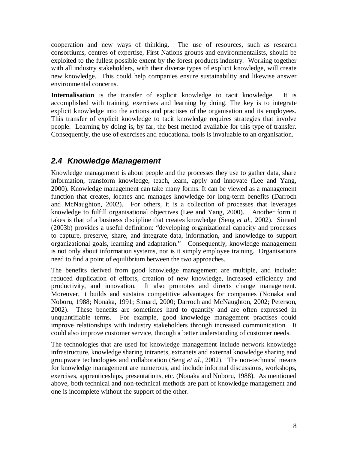cooperation and new ways of thinking. The use of resources, such as research consortiums, centres of expertise, First Nations groups and environmentalists, should be exploited to the fullest possible extent by the forest products industry. Working together with all industry stakeholders, with their diverse types of explicit knowledge, will create new knowledge. This could help companies ensure sustainability and likewise answer environmental concerns.

**Internalisation** is the transfer of explicit knowledge to tacit knowledge. It is accomplished with training, exercises and learning by doing. The key is to integrate explicit knowledge into the actions and practises of the organisation and its employees. This transfer of explicit knowledge to tacit knowledge requires strategies that involve people. Learning by doing is, by far, the best method available for this type of transfer. Consequently, the use of exercises and educational tools is invaluable to an organisation.

## **2.4 Knowledge Management**

Knowledge management is about people and the processes they use to gather data, share information, transform knowledge, teach, learn, apply and innovate (Lee and Yang, 2000). Knowledge management can take many forms. It can be viewed as a management function that creates, locates and manages knowledge for long-term benefits (Darroch and McNaughton, 2002). For others, it is a collection of processes that leverages knowledge to fulfill organisational objectives (Lee and Yang, 2000). Another form it takes is that of a business discipline that creates knowledge (Seng *et al.,* 2002). Simard (2003b) provides a useful definition: "developing organizational capacity and processes to capture, preserve, share, and integrate data, information, and knowledge to support organizational goals, learning and adaptation." Consequently, knowledge management is not only about information systems, nor is it simply employee training. Organisations need to find a point of equilibrium between the two approaches.

The benefits derived from good knowledge management are multiple, and include: reduced duplication of efforts, creation of new knowledge, increased efficiency and productivity, and innovation. It also promotes and directs change management. Moreover, it builds and sustains competitive advantages for companies (Nonaka and Noboru, 1988; Nonaka, 1991; Simard, 2000; Darroch and McNaughton, 2002; Peterson, 2002). These benefits are sometimes hard to quantify and are often expressed in unquantifiable terms. For example, good knowledge management practises could improve relationships with industry stakeholders through increased communication. It could also improve customer service, through a better understanding of customer needs.

The technologies that are used for knowledge management include network knowledge infrastructure, knowledge sharing intranets, extranets and external knowledge sharing and groupware technologies and collaboration (Seng *et al.,* 2002). The non-technical means for knowledge management are numerous, and include informal discussions, workshops, exercises, apprenticeships, presentations, etc. (Nonaka and Noboru, 1988). As mentioned above, both technical and non-technical methods are part of knowledge management and one is incomplete without the support of the other.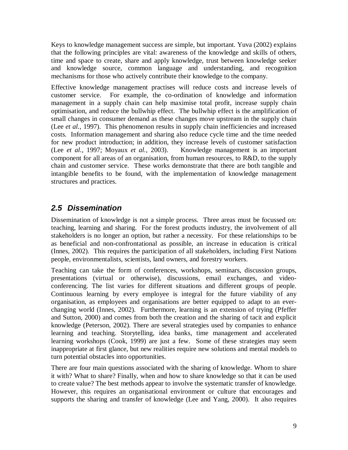Keys to knowledge management success are simple, but important. Yuva (2002) explains that the following principles are vital: awareness of the knowledge and skills of others, time and space to create, share and apply knowledge, trust between knowledge seeker and knowledge source, common language and understanding, and recognition mechanisms for those who actively contribute their knowledge to the company.

Effective knowledge management practises will reduce costs and increase levels of customer service. For example, the co-ordination of knowledge and information management in a supply chain can help maximise total profit, increase supply chain optimisation, and reduce the bullwhip effect. The bullwhip effect is the amplification of small changes in consumer demand as these changes move upstream in the supply chain (Lee *et al.,* 1997). This phenomenon results in supply chain inefficiencies and increased costs. Information management and sharing also reduce cycle time and the time needed for new product introduction; in addition, they increase levels of customer satisfaction (Lee *et al.,* 1997; Moyaux *et al.,* 2003). Knowledge management is an important component for all areas of an organisation, from human resources, to R&D, to the supply chain and customer service. These works demonstrate that there are both tangible and intangible benefits to be found, with the implementation of knowledge management structures and practices.

## **2.5 Dissemination**

Dissemination of knowledge is not a simple process. Three areas must be focussed on: teaching, learning and sharing. For the forest products industry, the involvement of all stakeholders is no longer an option, but rather a necessity. For these relationships to be as beneficial and non-confrontational as possible, an increase in education is critical (Innes, 2002). This requires the participation of all stakeholders, including First Nations people, environmentalists, scientists, land owners, and forestry workers.

Teaching can take the form of conferences, workshops, seminars, discussion groups, presentations (virtual or otherwise), discussions, email exchanges, and videoconferencing. The list varies for different situations and different groups of people. Continuous learning by every employee is integral for the future viability of any organisation, as employees and organisations are better equipped to adapt to an everchanging world (Innes, 2002). Furthermore, learning is an extension of trying (Pfeffer and Sutton, 2000) and comes from both the creation and the sharing of tacit and explicit knowledge (Peterson, 2002). There are several strategies used by companies to enhance learning and teaching. Storytelling, idea banks, time management and accelerated learning workshops (Cook, 1999) are just a few. Some of these strategies may seem inappropriate at first glance, but new realities require new solutions and mental models to turn potential obstacles into opportunities.

There are four main questions associated with the sharing of knowledge. Whom to share it with? What to share? Finally, when and how to share knowledge so that it can be used to create value? The best methods appear to involve the systematic transfer of knowledge. However, this requires an organisational environment or culture that encourages and supports the sharing and transfer of knowledge (Lee and Yang, 2000). It also requires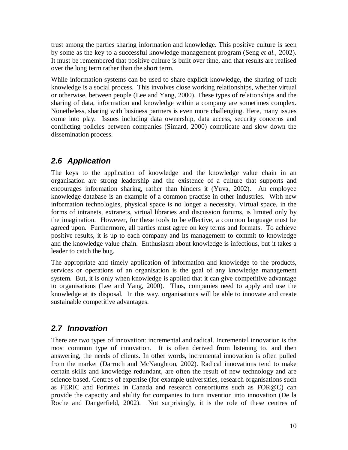trust among the parties sharing information and knowledge. This positive culture is seen by some as the key to a successful knowledge management program (Seng *et al.,* 2002). It must be remembered that positive culture is built over time, and that results are realised over the long term rather than the short term.

While information systems can be used to share explicit knowledge, the sharing of tacit knowledge is a social process. This involves close working relationships, whether virtual or otherwise, between people (Lee and Yang, 2000). These types of relationships and the sharing of data, information and knowledge within a company are sometimes complex. Nonetheless, sharing with business partners is even more challenging. Here, many issues come into play. Issues including data ownership, data access, security concerns and conflicting policies between companies (Simard, 2000) complicate and slow down the dissemination process.

# **2.6 Application**

The keys to the application of knowledge and the knowledge value chain in an organisation are strong leadership and the existence of a culture that supports and encourages information sharing, rather than hinders it (Yuva, 2002). An employee knowledge database is an example of a common practise in other industries. With new information technologies, physical space is no longer a necessity. Virtual space, in the forms of intranets, extranets, virtual libraries and discussion forums, is limited only by the imagination. However, for these tools to be effective, a common language must be agreed upon. Furthermore, all parties must agree on key terms and formats. To achieve positive results, it is up to each company and its management to commit to knowledge and the knowledge value chain. Enthusiasm about knowledge is infectious, but it takes a leader to catch the bug.

The appropriate and timely application of information and knowledge to the products, services or operations of an organisation is the goal of any knowledge management system. But, it is only when knowledge is applied that it can give competitive advantage to organisations (Lee and Yang, 2000). Thus, companies need to apply and use the knowledge at its disposal. In this way, organisations will be able to innovate and create sustainable competitive advantages.

# **2.7 Innovation**

There are two types of innovation: incremental and radical. Incremental innovation is the most common type of innovation. It is often derived from listening to, and then answering, the needs of clients. In other words, incremental innovation is often pulled from the market (Darroch and McNaughton, 2002). Radical innovations tend to make certain skills and knowledge redundant, are often the result of new technology and are science based. Centres of expertise (for example universities, research organisations such as FERIC and Forintek in Canada and research consortiums such as FOR@C) can provide the capacity and ability for companies to turn invention into innovation (De la Roche and Dangerfield, 2002). Not surprisingly, it is the role of these centres of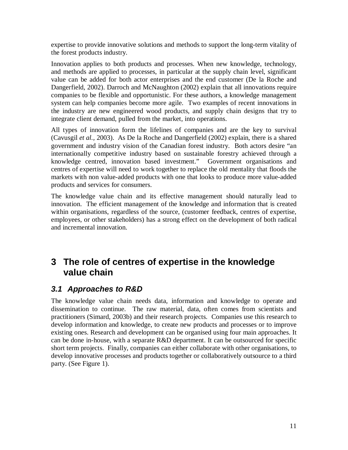expertise to provide innovative solutions and methods to support the long-term vitality of the forest products industry.

Innovation applies to both products and processes. When new knowledge, technology, and methods are applied to processes, in particular at the supply chain level, significant value can be added for both actor enterprises and the end customer (De la Roche and Dangerfield, 2002). Darroch and McNaughton (2002) explain that all innovations require companies to be flexible and opportunistic. For these authors, a knowledge management system can help companies become more agile. Two examples of recent innovations in the industry are new engineered wood products, and supply chain designs that try to integrate client demand, pulled from the market, into operations.

All types of innovation form the lifelines of companies and are the key to survival (Cavusgil *et al.,* 2003). As De la Roche and Dangerfield (2002) explain, there is a shared government and industry vision of the Canadian forest industry. Both actors desire "an internationally competitive industry based on sustainable forestry achieved through a knowledge centred, innovation based investment." Government organisations and centres of expertise will need to work together to replace the old mentality that floods the markets with non value-added products with one that looks to produce more value-added products and services for consumers.

The knowledge value chain and its effective management should naturally lead to innovation. The efficient management of the knowledge and information that is created within organisations, regardless of the source, (customer feedback, centres of expertise, employees, or other stakeholders) has a strong effect on the development of both radical and incremental innovation.

# **3 The role of centres of expertise in the knowledge value chain**

### **3.1 Approaches to R&D**

The knowledge value chain needs data, information and knowledge to operate and dissemination to continue. The raw material, data, often comes from scientists and practitioners (Simard, 2003b) and their research projects. Companies use this research to develop information and knowledge, to create new products and processes or to improve existing ones. Research and development can be organised using four main approaches. It can be done in-house, with a separate R&D department. It can be outsourced for specific short term projects. Finally, companies can either collaborate with other organisations, to develop innovative processes and products together or collaboratively outsource to a third party. (See Figure 1).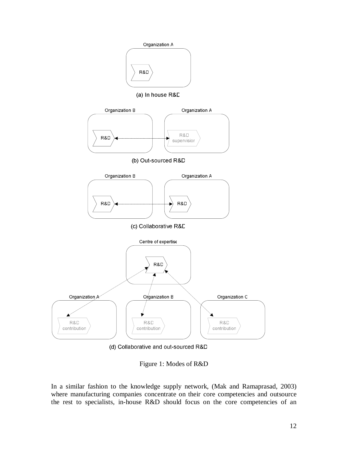

Figure 1: Modes of R&D

In a similar fashion to the knowledge supply network, (Mak and Ramaprasad, 2003) where manufacturing companies concentrate on their core competencies and outsource the rest to specialists, in-house R&D should focus on the core competencies of an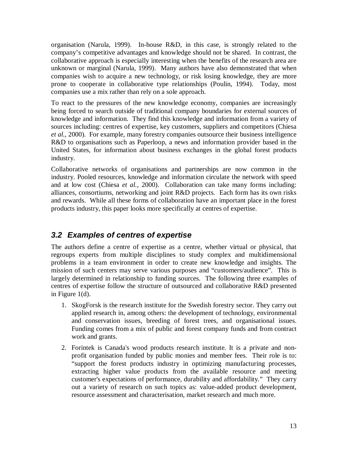organisation (Narula, 1999). In-house R&D, in this case, is strongly related to the company's competitive advantages and knowledge should not be shared. In contrast, the collaborative approach is especially interesting when the benefits of the research area are unknown or marginal (Narula, 1999). Many authors have also demonstrated that when companies wish to acquire a new technology, or risk losing knowledge, they are more prone to cooperate in collaborative type relationships (Poulin, 1994). Today, most companies use a mix rather than rely on a sole approach.

To react to the pressures of the new knowledge economy, companies are increasingly being forced to search outside of traditional company boundaries for external sources of knowledge and information. They find this knowledge and information from a variety of sources including: centres of expertise, key customers, suppliers and competitors (Chiesa *et al.,* 2000). For example, many forestry companies outsource their business intelligence R&D to organisations such as Paperloop, a news and information provider based in the United States, for information about business exchanges in the global forest products industry.

Collaborative networks of organisations and partnerships are now common in the industry. Pooled resources, knowledge and information circulate the network with speed and at low cost (Chiesa *et al.,* 2000). Collaboration can take many forms including: alliances, consortiums, networking and joint R&D projects. Each form has its own risks and rewards. While all these forms of collaboration have an important place in the forest products industry, this paper looks more specifically at centres of expertise.

# **3.2 Examples of centres of expertise**

The authors define a centre of expertise as a centre, whether virtual or physical, that regroups experts from multiple disciplines to study complex and multidimensional problems in a team environment in order to create new knowledge and insights. The mission of such centers may serve various purposes and "customers/audience". This is largely determined in relationship to funding sources. The following three examples of centres of expertise follow the structure of outsourced and collaborative R&D presented in Figure 1(d).

- 1. SkogForsk is the research institute for the Swedish forestry sector. They carry out applied research in, among others: the development of technology, environmental and conservation issues, breeding of forest trees, and organisational issues. Funding comes from a mix of public and forest company funds and from contract work and grants.
- 2. Forintek is Canada's wood products research institute. It is a private and nonprofit organisation funded by public monies and member fees. Their role is to: "support the forest products industry in optimizing manufacturing processes, extracting higher value products from the available resource and meeting customer's expectations of performance, durability and affordability." They carry out a variety of research on such topics as: value-added product development, resource assessment and characterisation, market research and much more.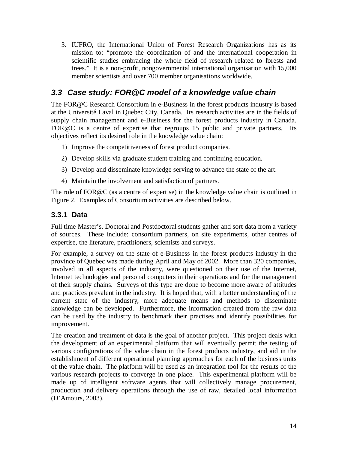3. IUFRO, the International Union of Forest Research Organizations has as its mission to: "promote the coordination of and the international cooperation in scientific studies embracing the whole field of research related to forests and trees." It is a non-profit, nongovernmental international organisation with 15,000 member scientists and over 700 member organisations worldwide.

# **3.3 Case study: FOR@C model of a knowledge value chain**

The FOR@C Research Consortium in e-Business in the forest products industry is based at the Université Laval in Quebec City, Canada. Its research activities are in the fields of supply chain management and e-Business for the forest products industry in Canada. FOR@C is a centre of expertise that regroups 15 public and private partners. Its objectives reflect its desired role in the knowledge value chain:

- 1) Improve the competitiveness of forest product companies.
- 2) Develop skills via graduate student training and continuing education.
- 3) Develop and disseminate knowledge serving to advance the state of the art.
- 4) Maintain the involvement and satisfaction of partners.

The role of FOR@C (as a centre of expertise) in the knowledge value chain is outlined in Figure 2. Examples of Consortium activities are described below.

### **3.3.1 Data**

Full time Master's, Doctoral and Postdoctoral students gather and sort data from a variety of sources. These include: consortium partners, on site experiments, other centres of expertise, the literature, practitioners, scientists and surveys.

For example, a survey on the state of e-Business in the forest products industry in the province of Quebec was made during April and May of 2002. More than 320 companies, involved in all aspects of the industry, were questioned on their use of the Internet, Internet technologies and personal computers in their operations and for the management of their supply chains. Surveys of this type are done to become more aware of attitudes and practices prevalent in the industry. It is hoped that, with a better understanding of the current state of the industry, more adequate means and methods to disseminate knowledge can be developed. Furthermore, the information created from the raw data can be used by the industry to benchmark their practises and identify possibilities for improvement.

The creation and treatment of data is the goal of another project. This project deals with the development of an experimental platform that will eventually permit the testing of various configurations of the value chain in the forest products industry, and aid in the establishment of different operational planning approaches for each of the business units of the value chain. The platform will be used as an integration tool for the results of the various research projects to converge in one place. This experimental platform will be made up of intelligent software agents that will collectively manage procurement, production and delivery operations through the use of raw, detailed local information (D'Amours, 2003).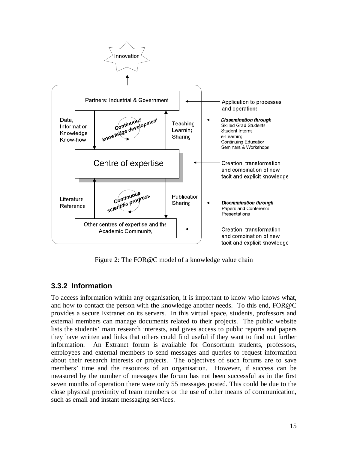

Figure 2: The FOR @C model of a knowledge value chain

#### **3.3.2 Information**

To access information within any organisation, it is important to know who knows what, and how to contact the person with the knowledge another needs. To this end, FOR@C provides a secure Extranet on its servers. In this virtual space, students, professors and external members can manage documents related to their projects. The public website lists the students' main research interests, and gives access to public reports and papers they have written and links that others could find useful if they want to find out further information. An Extranet forum is available for Consortium students, professors, employees and external members to send messages and queries to request information about their research interests or projects. The objectives of such forums are to save members' time and the resources of an organisation. However, if success can be measured by the number of messages the forum has not been successful as in the first seven months of operation there were only 55 messages posted. This could be due to the close physical proximity of team members or the use of other means of communication, such as email and instant messaging services.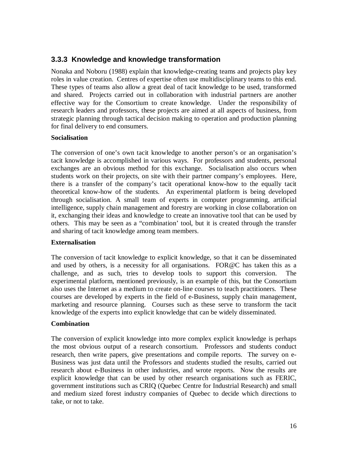### **3.3.3 Knowledge and knowledge transformation**

Nonaka and Noboru (1988) explain that knowledge-creating teams and projects play key roles in value creation. Centres of expertise often use multidisciplinary teams to this end. These types of teams also allow a great deal of tacit knowledge to be used, transformed and shared. Projects carried out in collaboration with industrial partners are another effective way for the Consortium to create knowledge. Under the responsibility of research leaders and professors, these projects are aimed at all aspects of business, from strategic planning through tactical decision making to operation and production planning for final delivery to end consumers.

#### **Socialisation**

The conversion of one's own tacit knowledge to another person's or an organisation's tacit knowledge is accomplished in various ways. For professors and students, personal exchanges are an obvious method for this exchange. Socialisation also occurs when students work on their projects, on site with their partner company's employees. Here, there is a transfer of the company's tacit operational know-how to the equally tacit theoretical know-how of the students. An experimental platform is being developed through socialisation. A small team of experts in computer programming, artificial intelligence, supply chain management and forestry are working in close collaboration on it, exchanging their ideas and knowledge to create an innovative tool that can be used by others. This may be seen as a "combination' tool, but it is created through the transfer and sharing of tacit knowledge among team members.

#### **Externalisation**

The conversion of tacit knowledge to explicit knowledge, so that it can be disseminated and used by others, is a necessity for all organisations. FOR@C has taken this as a challenge, and as such, tries to develop tools to support this conversion. The experimental platform, mentioned previously, is an example of this, but the Consortium also uses the Internet as a medium to create on-line courses to teach practitioners. These courses are developed by experts in the field of e-Business, supply chain management, marketing and resource planning. Courses such as these serve to transform the tacit knowledge of the experts into explicit knowledge that can be widely disseminated.

#### **Combination**

The conversion of explicit knowledge into more complex explicit knowledge is perhaps the most obvious output of a research consortium. Professors and students conduct research, then write papers, give presentations and compile reports. The survey on e-Business was just data until the Professors and students studied the results, carried out research about e-Business in other industries, and wrote reports. Now the results are explicit knowledge that can be used by other research organisations such as FERIC, government institutions such as CRIQ (Quebec Centre for Industrial Research) and small and medium sized forest industry companies of Quebec to decide which directions to take, or not to take.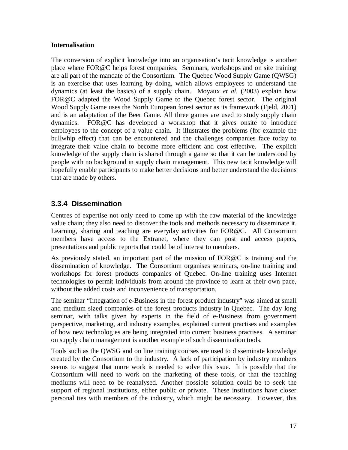#### **Internalisation**

The conversion of explicit knowledge into an organisation's tacit knowledge is another place where FOR@C helps forest companies. Seminars, workshops and on site training are all part of the mandate of the Consortium. The Quebec Wood Supply Game (QWSG) is an exercise that uses learning by doing, which allows employees to understand the dynamics (at least the basics) of a supply chain. Moyaux *et al.* (2003) explain how FOR@C adapted the Wood Supply Game to the Quebec forest sector. The original Wood Supply Game uses the North European forest sector as its framework (Fjeld, 2001) and is an adaptation of the Beer Game. All three games are used to study supply chain dynamics. FOR@C has developed a workshop that it gives onsite to introduce employees to the concept of a value chain. It illustrates the problems (for example the bullwhip effect) that can be encountered and the challenges companies face today to integrate their value chain to become more efficient and cost effective. The explicit knowledge of the supply chain is shared through a game so that it can be understood by people with no background in supply chain management. This new tacit knowledge will hopefully enable participants to make better decisions and better understand the decisions that are made by others.

#### **3.3.4 Dissemination**

Centres of expertise not only need to come up with the raw material of the knowledge value chain; they also need to discover the tools and methods necessary to disseminate it. Learning, sharing and teaching are everyday activities for FOR@C. All Consortium members have access to the Extranet, where they can post and access papers, presentations and public reports that could be of interest to members.

As previously stated, an important part of the mission of FOR@C is training and the dissemination of knowledge. The Consortium organises seminars, on-line training and workshops for forest products companies of Quebec. On-line training uses Internet technologies to permit individuals from around the province to learn at their own pace, without the added costs and inconvenience of transportation.

The seminar "Integration of e-Business in the forest product industry" was aimed at small and medium sized companies of the forest products industry in Quebec. The day long seminar, with talks given by experts in the field of e-Business from government perspective, marketing, and industry examples, explained current practises and examples of how new technologies are being integrated into current business practises. A seminar on supply chain management is another example of such dissemination tools.

Tools such as the QWSG and on line training courses are used to disseminate knowledge created by the Consortium to the industry. A lack of participation by industry members seems to suggest that more work is needed to solve this issue. It is possible that the Consortium will need to work on the marketing of these tools, or that the teaching mediums will need to be reanalysed. Another possible solution could be to seek the support of regional institutions, either public or private. These institutions have closer personal ties with members of the industry, which might be necessary. However, this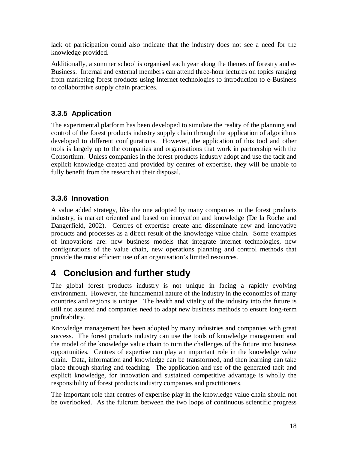lack of participation could also indicate that the industry does not see a need for the knowledge provided.

Additionally, a summer school is organised each year along the themes of forestry and e-Business. Internal and external members can attend three-hour lectures on topics ranging from marketing forest products using Internet technologies to introduction to e-Business to collaborative supply chain practices.

## **3.3.5 Application**

The experimental platform has been developed to simulate the reality of the planning and control of the forest products industry supply chain through the application of algorithms developed to different configurations. However, the application of this tool and other tools is largely up to the companies and organisations that work in partnership with the Consortium. Unless companies in the forest products industry adopt and use the tacit and explicit knowledge created and provided by centres of expertise, they will be unable to fully benefit from the research at their disposal.

### **3.3.6 Innovation**

A value added strategy, like the one adopted by many companies in the forest products industry, is market oriented and based on innovation and knowledge (De la Roche and Dangerfield, 2002). Centres of expertise create and disseminate new and innovative products and processes as a direct result of the knowledge value chain. Some examples of innovations are: new business models that integrate internet technologies, new configurations of the value chain, new operations planning and control methods that provide the most efficient use of an organisation's limited resources.

# **4 Conclusion and further study**

The global forest products industry is not unique in facing a rapidly evolving environment. However, the fundamental nature of the industry in the economies of many countries and regions is unique. The health and vitality of the industry into the future is still not assured and companies need to adapt new business methods to ensure long-term profitability.

Knowledge management has been adopted by many industries and companies with great success. The forest products industry can use the tools of knowledge management and the model of the knowledge value chain to turn the challenges of the future into business opportunities. Centres of expertise can play an important role in the knowledge value chain. Data, information and knowledge can be transformed, and then learning can take place through sharing and teaching. The application and use of the generated tacit and explicit knowledge, for innovation and sustained competitive advantage is wholly the responsibility of forest products industry companies and practitioners.

The important role that centres of expertise play in the knowledge value chain should not be overlooked. As the fulcrum between the two loops of continuous scientific progress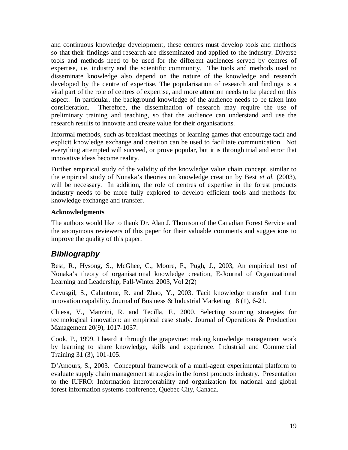and continuous knowledge development, these centres must develop tools and methods so that their findings and research are disseminated and applied to the industry. Diverse tools and methods need to be used for the different audiences served by centres of expertise, i.e. industry and the scientific community. The tools and methods used to disseminate knowledge also depend on the nature of the knowledge and research developed by the centre of expertise. The popularisation of research and findings is a vital part of the role of centres of expertise, and more attention needs to be placed on this aspect. In particular, the background knowledge of the audience needs to be taken into consideration. Therefore, the dissemination of research may require the use of preliminary training and teaching, so that the audience can understand and use the research results to innovate and create value for their organisations.

Informal methods, such as breakfast meetings or learning games that encourage tacit and explicit knowledge exchange and creation can be used to facilitate communication. Not everything attempted will succeed, or prove popular, but it is through trial and error that innovative ideas become reality.

Further empirical study of the validity of the knowledge value chain concept, similar to the empirical study of Nonaka's theories on knowledge creation by Best *et al.* (2003), will be necessary. In addition, the role of centres of expertise in the forest products industry needs to be more fully explored to develop efficient tools and methods for knowledge exchange and transfer.

#### **Acknowledgments**

The authors would like to thank Dr. Alan J. Thomson of the Canadian Forest Service and the anonymous reviewers of this paper for their valuable comments and suggestions to improve the quality of this paper.

## **Bibliography**

Best, R., Hysong, S., McGhee, C., Moore, F., Pugh, J., 2003, An empirical test of Nonaka's theory of organisational knowledge creation, E-Journal of Organizational Learning and Leadership, Fall-Winter 2003, Vol 2(2)

Cavusgil, S., Calantone, R. and Zhao, Y., 2003. Tacit knowledge transfer and firm innovation capability. Journal of Business & Industrial Marketing 18 (1), 6-21.

Chiesa, V., Manzini, R. and Tecilla, F., 2000. Selecting sourcing strategies for technological innovation: an empirical case study. Journal of Operations & Production Management 20(9), 1017-1037.

Cook, P., 1999. I heard it through the grapevine: making knowledge management work by learning to share knowledge, skills and experience. Industrial and Commercial Training 31 (3), 101-105.

D'Amours, S., 2003. Conceptual framework of a multi-agent experimental platform to evaluate supply chain management strategies in the forest products industry. Presentation to the IUFRO: Information interoperability and organization for national and global forest information systems conference, Quebec City, Canada.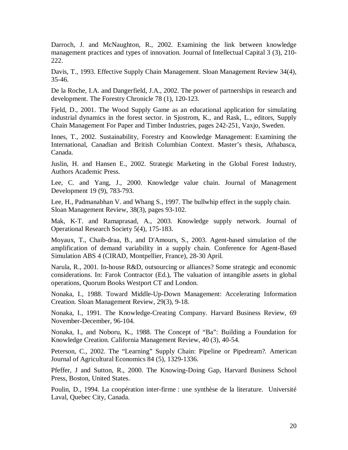Darroch, J. and McNaughton, R., 2002. Examining the link between knowledge management practices and types of innovation. Journal of Intellectual Capital 3 (3), 210- 222.

Davis, T., 1993. Effective Supply Chain Management. Sloan Management Review 34(4), 35-46.

De la Roche, I.A. and Dangerfield, J.A., 2002. The power of partnerships in research and development. The Forestry Chronicle 78 (1), 120-123.

Fjeld, D., 2001. The Wood Supply Game as an educational application for simulating industrial dynamics in the forest sector. in Sjostrom, K., and Rask, L., editors, Supply Chain Management For Paper and Timber Industries, pages 242-251, Vaxjo, Sweden.

Innes, T., 2002. Sustainability, Forestry and Knowledge Management: Examining the International, Canadian and British Columbian Context. Master's thesis, Athabasca, Canada.

Juslin, H. and Hansen E., 2002. Strategic Marketing in the Global Forest Industry, Authors Academic Press.

Lee, C. and Yang, J., 2000. Knowledge value chain. Journal of Management Development 19 (9), 783-793.

Lee, H., Padmanabhan V. and Whang S., 1997. The bullwhip effect in the supply chain. Sloan Management Review, 38(3), pages 93-102.

Mak, K-T. and Ramaprasad, A., 2003. Knowledge supply network. Journal of Operational Research Society 5(4), 175-183.

Moyaux, T., Chaib-draa, B., and D'Amours, S., 2003. Agent-based simulation of the amplification of demand variability in a supply chain. Conference for Agent-Based Simulation ABS 4 (CIRAD, Montpellier, France), 28-30 April.

Narula, R., 2001. In-house R&D, outsourcing or alliances? Some strategic and economic considerations. In: Farok Contractor (Ed.), The valuation of intangible assets in global operations, Quorum Books Westport CT and London.

Nonaka, I., 1988. Toward Middle-Up-Down Management: Accelerating Information Creation. Sloan Management Review, 29(3), 9-18.

Nonaka, I., 1991. The Knowledge-Creating Company. Harvard Business Review, 69 November-December, 96-104.

Nonaka, I., and Noboru, K., 1988. The Concept of "Ba": Building a Foundation for Knowledge Creation*.* California Management Review, 40 (3), 40-54.

Peterson, C., 2002. The "Learning" Supply Chain: Pipeline or Pipedream?*.* American Journal of Agricultural Economics 84 (5), 1329-1336.

Pfeffer, J and Sutton, R., 2000. The Knowing-Doing Gap, Harvard Business School Press, Boston, United States.

Poulin, D., 1994. La coopération inter-firme : une synthèse de la literature. Université Laval, Quebec City, Canada.